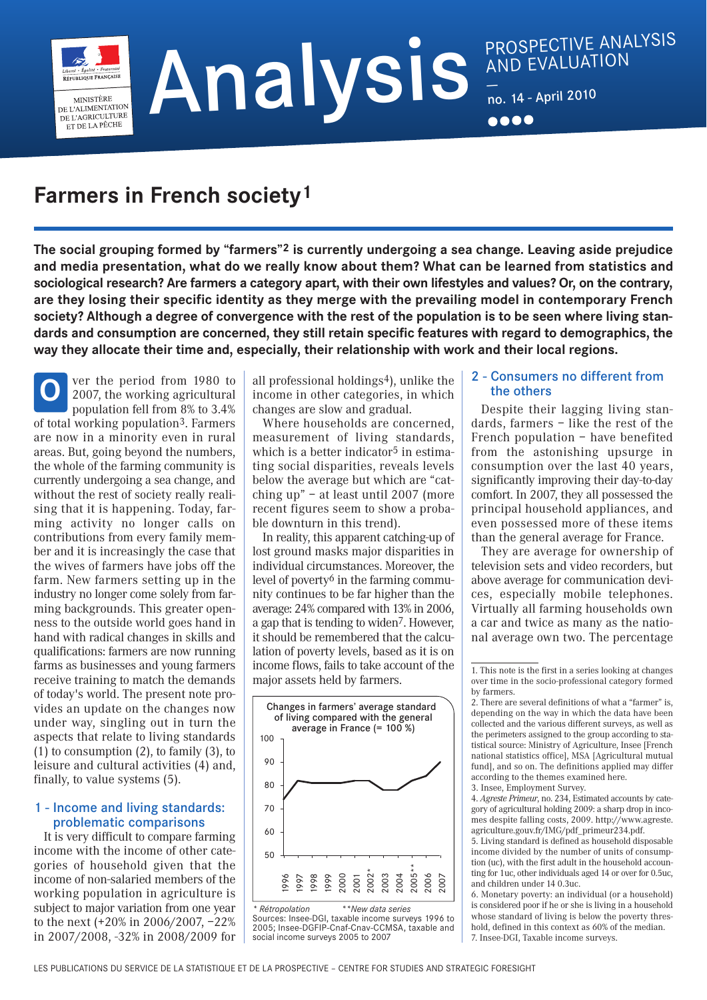— no. <sup>14</sup> - April 2010

# **Farmers in French society1**

MINISTÈRE **MINISTERE**<br>DE L'ALIMENTATION DE L'AGRICULTURE ET DE LA PÊCHE

**The social grouping formed by "farmers"2 is currently undergoing a sea change. Leaving aside prejudice and media presentation, what do we really know about them? What can be learned from statistics and sociological research? Are farmers a category apart, with their own lifestyles and values? Or, on the contrary, are they losing their specific identity as they merge with the prevailing model in contemporary French society? Although a degree of convergence with the rest of the population is to be seen where living standards and consumption are concerned, they still retain specific features with regard to demographics, the way they allocate their time and, especially, their relationship with work and their local regions.**

ver the period from 1980 to 2007, the working agricultural population fell from 8% to 3.4% of total working population3. Farmers are now in a minority even in rural areas. But, going beyond the numbers, the whole of the farming community is currently undergoing a sea change, and without the rest of society really realising that it is happening. Today, farming activity no longer calls on contributions from every family member and it is increasingly the case that the wives of farmers have jobs off the farm. New farmers setting up in the industry no longer come solely from farming backgrounds. This greater openness to the outside world goes hand in hand with radical changes in skills and qualifications: farmers are now running farms as businesses and young farmers receive training to match the demands of today's world. The present note provides an update on the changes now under way, singling out in turn the aspects that relate to living standards (1) to consumption (2), to family (3), to leisure and cultural activities (4) and, finally, to value systems (5). **O**

## 1 - Income and living standards: problematic comparisons

It is very difficult to compare farming income with the income of other categories of household given that the income of non-salaried members of the working population in agriculture is subject to major variation from one year to the next (+20% in 2006/2007, –22% in 2007/2008, -32% in 2008/2009 for all professional holdings4), unlike the income in other categories, in which changes are slow and gradual.

Where households are concerned, measurement of living standards, which is a better indicator<sup>5</sup> in estimating social disparities, reveals levels below the average but which are "catching up" – at least until 2007 (more recent figures seem to show a probable downturn in this trend).

In reality, this apparent catching-up of lost ground masks major disparities in individual circumstances. Moreover, the level of poverty<sup> $6$ </sup> in the farming community continues to be far higher than the average: 24% compared with 13% in 2006, a gap that is tending to widen7. However, it should be remembered that the calculation of poverty levels, based as it is on income flows, fails to take account of the major assets held by farmers.



Sources: Insee-DGI, taxable income surveys 1996 to 2005; Insee-DGFIP-Cnaf-Cnav-CCMSA, taxable and social income surveys 2005 to 2007

## 2 - Consumers no different from the others

Despite their lagging living standards, farmers – like the rest of the French population – have benefited from the astonishing upsurge in consumption over the last 40 years, significantly improving their day-to-day comfort. In 2007, they all possessed the principal household appliances, and even possessed more of these items than the general average for France.

They are average for ownership of television sets and video recorders, but above average for communication devices, especially mobile telephones. Virtually all farming households own a car and twice as many as the national average own two. The percentage

4. *Agreste Primeur*, no. 234, Estimated accounts by category of agricultural holding 2009: a sharp drop in incomes despite falling costs, 2009. http://www.agreste. agriculture.gouv.fr/IMG/pdf\_primeur234.pdf.

5. Living standard is defined as household disposable income divided by the number of units of consumption (uc), with the first adult in the household accounting for 1uc, other individuals aged 14 or over for 0.5uc, and children under 14 0.3uc.

6. Monetary poverty: an individual (or a household) is considered poor if he or she is living in a household whose standard of living is below the poverty threshold, defined in this context as 60% of the median. 7. Insee-DGI, Taxable income surveys.

<sup>1.</sup> This note is the first in a series looking at changes over time in the socio-professional category formed by farmers.

<sup>2.</sup> There are several definitions of what a "farmer" is, depending on the way in which the data have been collected and the various different surveys, as well as the perimeters assigned to the group according to statistical source: Ministry of Agriculture, Insee [French national statistics office], MSA [Agricultural mutual fund], and so on. The definitions applied may differ according to the themes examined here. 3. Insee, Employment Survey.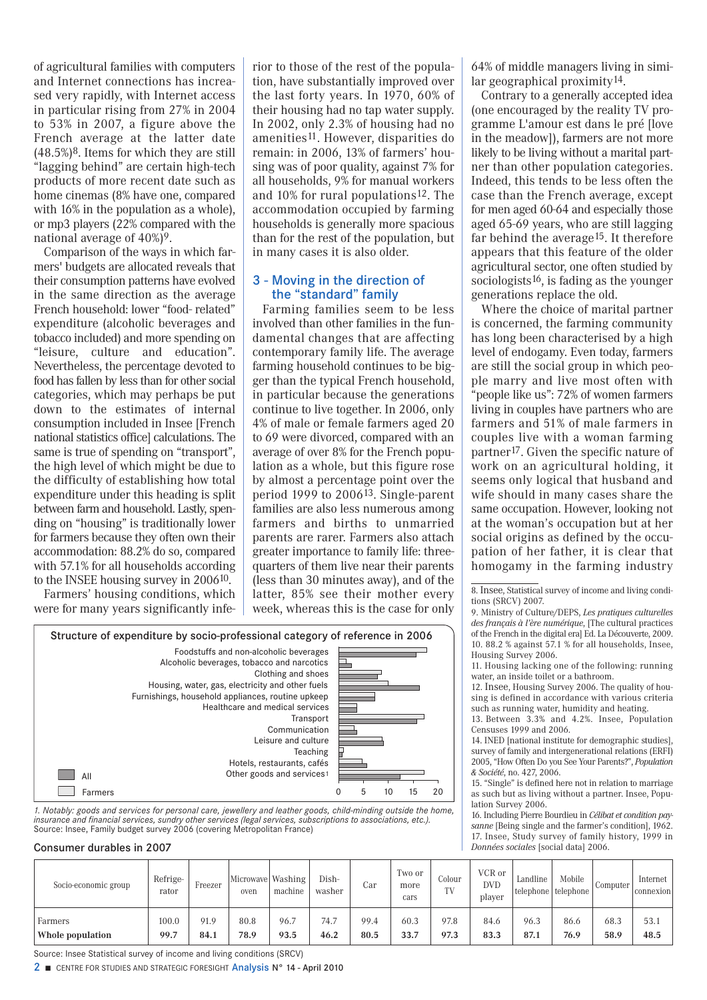of agricultural families with computers and Internet connections has increased very rapidly, with Internet access in particular rising from 27% in 2004 to 53% in 2007, a figure above the French average at the latter date (48.5%)8. Items for which they are still "lagging behind" are certain high-tech products of more recent date such as home cinemas (8% have one, compared with 16% in the population as a whole), or mp3 players (22% compared with the national average of  $40\%)$ <sup>9</sup>.

Comparison of the ways in which farmers' budgets are allocated reveals that their consumption patterns have evolved in the same direction as the average French household: lower "food- related" expenditure (alcoholic beverages and tobacco included) and more spending on "leisure, culture and education". Nevertheless, the percentage devoted to food has fallen by less than for other social categories, which may perhaps be put down to the estimates of internal consumption included in Insee [French national statistics office] calculations. The same is true of spending on "transport", the high level of which might be due to the difficulty of establishing how total expenditure under this heading is split between farm and household. Lastly, spending on "housing" is traditionally lower for farmers because they often own their accommodation: 88.2% do so, compared with 57.1% for all households according to the INSEE housing survey in 200610.

Farmers' housing conditions, which were for many years significantly inferior to those of the rest of the population, have substantially improved over the last forty years. In 1970, 60% of their housing had no tap water supply. In 2002, only 2.3% of housing had no amenities11. However, disparities do remain: in 2006, 13% of farmers' housing was of poor quality, against 7% for all households, 9% for manual workers and 10% for rural populations12. The accommodation occupied by farming households is generally more spacious than for the rest of the population, but in many cases it is also older.

## 3 - Moving in the direction of the "standard" family

Farming families seem to be less involved than other families in the fundamental changes that are affecting contemporary family life. The average farming household continues to be bigger than the typical French household, in particular because the generations continue to live together. In 2006, only 4% of male or female farmers aged 20 to 69 were divorced, compared with an average of over 8% for the French population as a whole, but this figure rose by almost a percentage point over the period 1999 to 200613. Single-parent families are also less numerous among farmers and births to unmarried parents are rarer. Farmers also attach greater importance to family life: threequarters of them live near their parents (less than 30 minutes away), and of the latter, 85% see their mother every week, whereas this is the case for only 64% of middle managers living in similar geographical proximity14.

Contrary to a generally accepted idea (one encouraged by the reality TV programme L'amour est dans le pré [love in the meadow]), farmers are not more likely to be living without a marital partner than other population categories. Indeed, this tends to be less often the case than the French average, except for men aged 60-64 and especially those aged 65-69 years, who are still lagging far behind the average<sup>15</sup>. It therefore appears that this feature of the older agricultural sector, one often studied by sociologists<sup>16</sup>, is fading as the younger generations replace the old.

Where the choice of marital partner is concerned, the farming community has long been characterised by a high level of endogamy. Even today, farmers are still the social group in which people marry and live most often with "people like us": 72% of women farmers living in couples have partners who are farmers and 51% of male farmers in couples live with a woman farming partner17. Given the specific nature of work on an agricultural holding, it seems only logical that husband and wife should in many cases share the same occupation. However, looking not at the woman's occupation but at her social origins as defined by the occupation of her father, it is clear that homogamy in the farming industry

10. 88.2 % against 57.1 % for all households, Insee, Housing Survey 2006. 11. Housing lacking one of the following: running

8. Insee, Statistical survey of income and living condi-

water, an inside toilet or a bathroom. 12. Insee, Housing Survey 2006. The quality of hou-

sing is defined in accordance with various criteria such as running water, humidity and heating.

13. Between 3.3% and 4.2%. Insee, Population Censuses 1999 and 2006.

14. INED [national institute for demographic studies], survey of family and intergenerational relations (ERFI) 2005, "How Often Do you See Your Parents?", *Population & Société*, no. 427, 2006.

15. "Single" is defined here not in relation to marriage as such but as living without a partner. Insee, Population Survey 2006.

16. Including Pierre Bourdieu in *Célibat et condition paysanne* [Being single and the farmer's condition], 1962. 17. Insee, Study survey of family history, 1999 in *Données sociales* [social data] 2006.

| 1. Notably: goods and services for personal care, jewellery and leather goods, child-minding outside the home, |  |
|----------------------------------------------------------------------------------------------------------------|--|
| insurance and financial services, sundry other services (legal services, subscriptions to associations, etc.). |  |
| Source: Insee, Family budget survey 2006 (covering Metropolitan France)                                        |  |

#### Consumer durables in 2007

| Socio-economic group | Refrige-<br>rator | Freezer | Microwave Washing<br>oven | machine | Dish-<br>washer | Car  | Two or<br>more<br>cars | Colour<br>TV | VCR or<br><b>DVD</b><br>player | Landline<br>  telephone | Mobile<br>telephone | Computer | Internet<br>connexion |
|----------------------|-------------------|---------|---------------------------|---------|-----------------|------|------------------------|--------------|--------------------------------|-------------------------|---------------------|----------|-----------------------|
| Farmers              | 100.0             | 91.9    | 80.8                      | 96.7    | 74.7            | 99.4 | 60.3                   | 97.8         | 84.6                           | 96.3                    | 86.6                | 68.3     | 53.1                  |
| Whole population     | 99.7              | 84.1    | 78.9                      | 93.5    | 46.2            | 80.5 | 33.7                   | 97.3         | 83.3                           | 87.1                    | 76.9                | 58.9     | 48.5                  |

Source: Insee Statistical survey of income and living conditions (SRCV)

2 **■** CENTRE FOR STUDIES AND STRATEGIC FORESIGHT Analysis N° 14 - April 2010



tions (SRCV) 2007. 9. Ministry of Culture/DEPS, *Les pratiques culturelles des français à l'ère numérique*, [The cultural practices of the French in the digital era] Ed. La Découverte, 2009.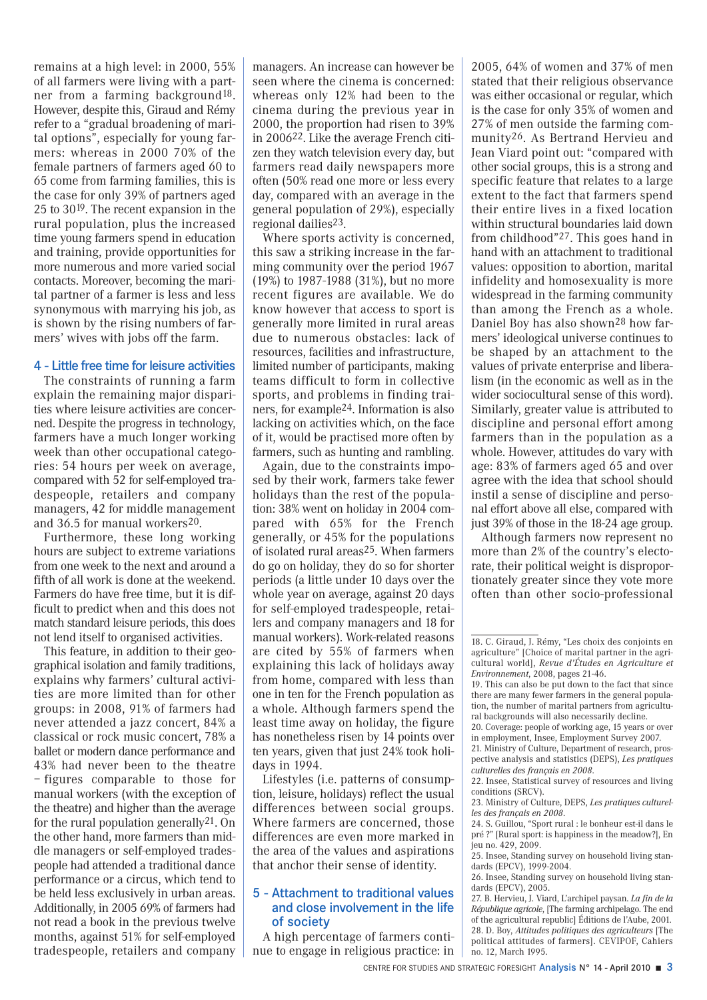remains at a high level: in 2000, 55% of all farmers were living with a partner from a farming background18. However, despite this, Giraud and Rémy refer to a "gradual broadening of marital options", especially for young farmers: whereas in 2000 70% of the female partners of farmers aged 60 to 65 come from farming families, this is the case for only 39% of partners aged 25 to 3019. The recent expansion in the rural population, plus the increased time young farmers spend in education and training, provide opportunities for more numerous and more varied social contacts. Moreover, becoming the marital partner of a farmer is less and less synonymous with marrying his job, as is shown by the rising numbers of farmers' wives with jobs off the farm.

#### 4 - Little free time for leisure activities

The constraints of running a farm explain the remaining major disparities where leisure activities are concerned. Despite the progress in technology, farmers have a much longer working week than other occupational categories: 54 hours per week on average, compared with 52 for self-employed tradespeople, retailers and company managers, 42 for middle management and 36.5 for manual workers20.

Furthermore, these long working hours are subject to extreme variations from one week to the next and around a fifth of all work is done at the weekend. Farmers do have free time, but it is difficult to predict when and this does not match standard leisure periods, this does not lend itself to organised activities.

This feature, in addition to their geographical isolation and family traditions, explains why farmers' cultural activities are more limited than for other groups: in 2008, 91% of farmers had never attended a jazz concert, 84% a classical or rock music concert, 78% a ballet or modern dance performance and 43% had never been to the theatre – figures comparable to those for manual workers (with the exception of the theatre) and higher than the average for the rural population generally21. On the other hand, more farmers than middle managers or self-employed tradespeople had attended a traditional dance performance or a circus, which tend to be held less exclusively in urban areas. Additionally, in 2005 69% of farmers had not read a book in the previous twelve months, against 51% for self-employed tradespeople, retailers and company managers. An increase can however be seen where the cinema is concerned: whereas only 12% had been to the cinema during the previous year in 2000, the proportion had risen to 39% in 200622. Like the average French citizen they watch television every day, but farmers read daily newspapers more often (50% read one more or less every day, compared with an average in the general population of 29%), especially regional dailies23.

Where sports activity is concerned, this saw a striking increase in the farming community over the period 1967 (19%) to 1987-1988 (31%), but no more recent figures are available. We do know however that access to sport is generally more limited in rural areas due to numerous obstacles: lack of resources, facilities and infrastructure, limited number of participants, making teams difficult to form in collective sports, and problems in finding trainers, for example24. Information is also lacking on activities which, on the face of it, would be practised more often by farmers, such as hunting and rambling.

Again, due to the constraints imposed by their work, farmers take fewer holidays than the rest of the population: 38% went on holiday in 2004 compared with 65% for the French generally, or 45% for the populations of isolated rural areas25. When farmers do go on holiday, they do so for shorter periods (a little under 10 days over the whole year on average, against 20 days for self-employed tradespeople, retailers and company managers and 18 for manual workers). Work-related reasons are cited by 55% of farmers when explaining this lack of holidays away from home, compared with less than one in ten for the French population as a whole. Although farmers spend the least time away on holiday, the figure has nonetheless risen by 14 points over ten years, given that just 24% took holidays in 1994.

Lifestyles (i.e. patterns of consumption, leisure, holidays) reflect the usual differences between social groups. Where farmers are concerned, those differences are even more marked in the area of the values and aspirations that anchor their sense of identity.

#### 5 - Attachment to traditional values and close involvement in the life of society

A high percentage of farmers continue to engage in religious practice: in

2005, 64% of women and 37% of men stated that their religious observance was either occasional or regular, which is the case for only 35% of women and 27% of men outside the farming community26. As Bertrand Hervieu and Jean Viard point out: "compared with other social groups, this is a strong and specific feature that relates to a large extent to the fact that farmers spend their entire lives in a fixed location within structural boundaries laid down from childhood"27. This goes hand in hand with an attachment to traditional values: opposition to abortion, marital infidelity and homosexuality is more widespread in the farming community than among the French as a whole. Daniel Boy has also shown28 how farmers' ideological universe continues to be shaped by an attachment to the values of private enterprise and liberalism (in the economic as well as in the wider sociocultural sense of this word). Similarly, greater value is attributed to discipline and personal effort among farmers than in the population as a whole. However, attitudes do vary with age: 83% of farmers aged 65 and over agree with the idea that school should instil a sense of discipline and personal effort above all else, compared with just 39% of those in the 18-24 age group.

Although farmers now represent no more than 2% of the country's electorate, their political weight is disproportionately greater since they vote more often than other socio-professional

24. S. Guillou, "Sport rural : le bonheur est-il dans le pré ?" [Rural sport: is happiness in the meadow?], En jeu no. 429, 2009.

<sup>18.</sup> C. Giraud, J. Rémy, "Les choix des conjoints en agriculture" [Choice of marital partner in the agricultural world], *Revue d'Études en Agriculture et Environnement*, 2008, pages 21-46.

<sup>19.</sup> This can also be put down to the fact that since there are many fewer farmers in the general population, the number of marital partners from agricultural backgrounds will also necessarily decline.

<sup>20.</sup> Coverage: people of working age, 15 years or over in employment, Insee, Employment Survey 2007.

<sup>21.</sup> Ministry of Culture, Department of research, prospective analysis and statistics (DEPS), *Les pratiques culturelles des français en 2008*.

<sup>22.</sup> Insee, Statistical survey of resources and living conditions (SRCV).

<sup>23.</sup> Ministry of Culture, DEPS, *Les pratiques culturelles des français en 2008*.

<sup>25.</sup> Insee, Standing survey on household living standards (EPCV), 1999-2004.

<sup>26.</sup> Insee, Standing survey on household living standards (EPCV), 2005.

<sup>27.</sup> B. Hervieu, J. Viard, L'archipel paysan. *La fin de la République agricole*, [The farming archipelago. The end of the agricultural republic] Éditions de l'Aube, 2001. 28. D. Boy, *Attitudes politiques des agriculteurs* [The political attitudes of farmers]. CEVIPOF, Cahiers no. 12, March 1995.